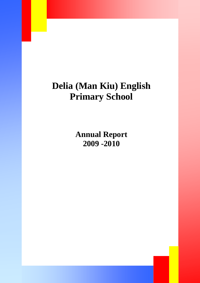# **Delia (Man Kiu) English Primary School**

**Annual Report 2009 -2010**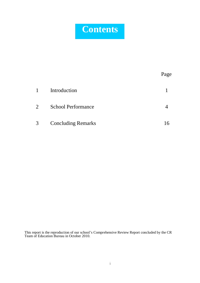# **Contents**

|                  |                           | Page |
|------------------|---------------------------|------|
| $\mathbf{1}$     | Introduction              |      |
| $\overline{2}$ . | <b>School Performance</b> |      |
| 3                | <b>Concluding Remarks</b> | 16   |

This report is the reproduction of our school's Comprehensive Review Report concluded by the CR Team of Education Bureau in October 2010.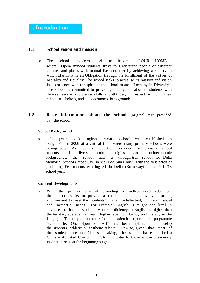# **1.1 School vision and mission**

- The school envisions itself to become " OUR HOME " where **O**pen- minded students strive to **U**nderstand people of different cultures and places with mutual **R**espect, thereby achieving a society in which **H**armony is an **O**bligation through the fulfillment of the virtues of **M**orality and **E**quality. The school seeks to actualise its mission and vision in accordance with the spirit of the school motto "Harmony in Diversity". The school is committed to providing quality education to students with diverse needs in knowledge, skills, and attitudes, irrespective of their ethnicities, beliefs, and socioeconomic backgrounds.
- **1.2 Basic information about the school** (original text provided by the school)

#### **School Background**

 Delia (Man Kiu) English Primary School was established in Tsing Yi in 2006 at a critical time where many primary schools were closing down. As a quality education provider for primary school students of diverse cultural origins and socioeconomic backgrounds, the school acts a through-train school for Delia Memorial School (Broadway) in Mei Foo Sun Chuen, with the first batch of graduating P6 students entering S1 in Delia (Broadway) in the 2012/13 school year.

#### **Current Developments**

 With the primary aim of providing a well-balanced education, the school seeks to provide a challenging and innovative learning environment to meet the students' moral, intellectual, physical, social, and aesthetic needs. For example, English is taught one level in advance, so that the students, whose proficiency in English is higher than the territory average, can reach higher levels of fluency and literacy in the language. To complement the school's academic rigor, the programme "One Life, One Sport or Art" has been implemented to develop the students' athletic or aesthetic talents. Likewise, given that most of the students are non-Chinese-speaking, the school has established a Chinese Adjusted Curriculum (CAC) to cater to those whose proficiency in Cantonese is at the beginning stages.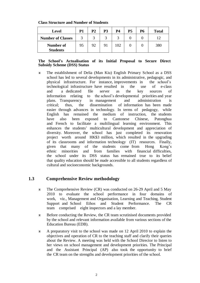**Class Structure and Number of Students**

| Level                        | P1 | P2 | P3 | <b>P4</b>   | P <sub>5</sub> | Р6 | Total |
|------------------------------|----|----|----|-------------|----------------|----|-------|
| <b>Number of Classes</b>     |    |    |    | $\mathbf 2$ |                |    |       |
| Number of<br><b>Students</b> | 95 | 92 | 91 | 102         |                |    | 380   |

#### **The School's Actualisation of its Initial Proposal to Secure Direct Subsidy Scheme (DSS) Status**

 The establishment of Delia (Man Kiu) English Primary School as a DSS school has led to several developments in its administrative, pedagogic, and physical infrastructure. For instance, improvements in the school's technological infrastructure have resulted in the use of e-class and a dedicated file server as the key sources of information relating to the school's developmental priorities and year plans. Transparency in management and administration is critical; thus, the dissemination of information has been made easier through advances in technology. In terms of pedagogy, while English has remained the medium of instruction, the students have also been exposed to Cantonese Chinese, Putonghua and French to facilitate a multilingual learning environment. This enhances the students' multicultural development and appreciation of diversity. Moreover, the school has just completed its renovation project worth around HK\$3 million, which resulted in the upgrading of its classrooms and information technology (IT) resources. Finally, given that many of the students come from Hong Kong's ethnic minorities and from families with financial difficulties, the school under its DSS status has remained true to its belief that quality education should be made accessible to all students regardless of cultural and socioeconomic backgrounds.

## **1.3 Comprehensive Review methodology**

- The Comprehensive Review (CR) was conducted on 26-29 April and 5 May 2010 to evaluate the school performance in four domains of work, viz., Management and Organisation, Learning and Teaching, Student Support and School Ethos and Student Performance. The CR team comprised eight inspectors and a lay member.
- Before conducting the Review, the CR team scrutinised documents provided by the school and relevant information available from various sections of the Education Bureau (EDB).
- A preparatory visit to the school was made on 12 April 2010 to explain the objectives and operation of CR to the teaching staff and clarify their queries about the Review. A meeting was held with the School Director to listen to her views on school management and development priorities. The Principal and the Assistant Principal (AP) also took the opportunity to brief the CR team on the strengths and development priorities of the school.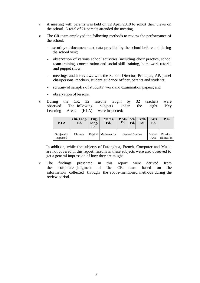- A meeting with parents was held on 12 April 2010 to solicit their views on the school. A total of 21 parents attended the meeting.
- The CR team employed the following methods to review the performance of the school:
	- scrutiny of documents and data provided by the school before and during the school visit;
	- observation of various school activities, including choir practice, school team training, concentration and social skill training, homework tutorial and puppet show;
	- meetings and interviews with the School Director, Principal, AP, panel chairpersons, teachers, student guidance officer, parents and students;
	- scrutiny of samples of students' work and examination papers; and
	- observation of lessons.
- During the CR, 32 lessons taught by 32 teachers were observed. The following subjects under the eight Key Learning Areas (KLA) were inspected:

| <b>KLA</b>              | Chi. Lang.<br>Ed. | Eng.<br>Lang.<br>Ed. | Maths.<br>Ed.         | $P.S.H.$ Sci.<br>Ed.   | Ed. | Tech.<br>Ed.   | Arts<br>Ed.           | P.E. |
|-------------------------|-------------------|----------------------|-----------------------|------------------------|-----|----------------|-----------------------|------|
| Subject(s)<br>inspected | Chinese           |                      | English   Mathematics | <b>General Studies</b> |     | Visual<br>Arts | Physical<br>Education |      |

In addition, while the subjects of Putonghua, French, Computer and Music are not covered in this report, lessons in these subjects were also observed to get a general impression of how they are taught.

 The findings presented in this report were derived from the corporate judgment of the CR team based on the information collected through the above-mentioned methods during the review period.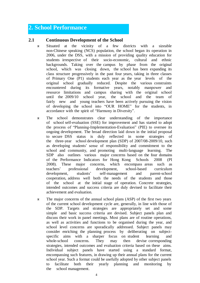# **2. School Performance**

#### **2.1 Continuous Development of the School**

- Situated at the vicinity of a few districts with a sizeable non-Chinese speaking (NCS) population, the school began its operation in 2006, under the DSS, with a mission of providing quality education for students irrespective of their socio-economic, cultural and ethnic backgrounds. Taking over the campus by phase from the original school, which was closing down, the school has been expanding its class structure progressively in the past four years, taking in three classes of Primary One (P1) students each year as the year levels of the original school gradually reduced. Despite the various constraints encountered during its formative years, notably manpower and resource limitations and campus sharing with the original school until the 2009/10 school year, the school and the team of fairly new and young teachers have been actively pursuing the vision of developing the school into "OUR HOME" for the students, in accordance with the spirit of "Harmony in Diversity".
- The school demonstrates clear understanding of the importance of school self-evaluation (SSE) for improvement and has started to adopt the process of "Planning-Implementation-Evaluation" (PIE) to oversee its ongoing development. The broad direction laid down in the initial proposal to secure DSS status is duly reflected in some strategies of the three-year school development plan (SDP) of 2007/08-2009/10, such as developing students' sense of responsibility and commitment to the school and community, and promoting multi-language learning. The SDP also outlines various major concerns based on the four domains of the Performance Indicators for Hong Kong Schools 2008 (PI 2008). These major concerns, which encompass areas such as teachers' professional development, school-based curriculum development, students' self-management and parent-school cooperation, address well both the needs of the students and those of the school at the initial stage of operation. Concrete strategies, intended outcomes and success criteria are duly devised to facilitate their achievement and evaluation.
- The major concerns of the annual school plans (ASP) of the first two years of the current school development cycle are, generally, in line with those of the SDP. Targets and strategies are appropriately set and some simple and basic success criteria are devised. Subject panels plan and discuss their work in panel meetings. Most plans are of routine operations, as well as activities and functions to be organised during the year, and school level concerns are sporadically addressed. Subject panels may consider enriching the planning process by deliberating on subjectspecific aims with a sharper focus on student learning and whole-school concerns. They may then devise corresponding strategies, intended outcomes and evaluation criteria based on these aims. Individual subject panels have started using a standard format, encompassing such features, in drawing up their annual plans for the current school year. Such a format could be usefully adopted by other subject panels to facilitate both their yearly planning and monitoring by the school management.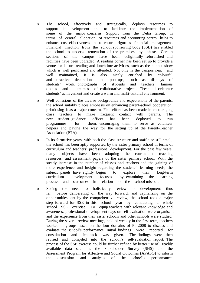- The school, effectively and strategically, deploys resources to support its development and to facilitate the implementation of some of the major concerns. Support from the Delia Group, in terms of central allocation of resources and accounting control, helps to enhance cost-effectiveness and to ensure rigorous financial management. Financial injection from the school sponsoring body (SSB) has enabled the school to undergo renovation of the premises by phase. Certain sections of the campus have been delightfully refurbished and facilities have been upgraded. A reading corner has been set up to provide a venue for leisure reading and lunchtime activities, such as the puppet show which is well performed and attended. Not only is the campus neat and well maintained, it is also nicely enriched by colourful and attractive decorations and post-ups, such as displays of students' work, photographs of students and teachers, famous quotes and outcomes of collaborative projects. These all celebrate students' achievement and create a warm and multi-cultural environment.
- Well conscious of the diverse backgrounds and expectations of the parents, the school suitably places emphasis on enhancing parent-school cooperation, prioritising it as a major concern. Fine effort has been made in encouraging class teachers to make frequent contact with parents. The new student guidance officer has been deployed to run programmes for them, encouraging them to serve as volunteer helpers and paving the way for the setting up of the Parent-Teacher Association (PTA).
- In its formative years, with both the class structure and staff size still small, the school has been aptly supported by the sister primary school in terms of curriculum and teachers' professional development. For the past few years, many subjects have been adopting the curriculum, teaching resources and assessment papers of the sister primary school. With the steady increase in the number of classes and teachers and the gaining of more experience and insight regarding the students' learning needs, the subject panels have rightly begun to explore their long-term curriculum development focuses by examining the learning process and outcomes in relation to the school mission.
- Seeing the need to holistically review its development thus far before deliberating on the way forward, and capitalising on the opportunities lent by the comprehensive review, the school took a major step forward for SSE in this school year by conducting a whole school SSE exercise. To equip teachers with relevant knowledge and awareness, professional development days on self-evaluation were organised, and the experience from their sister schools and other schools were studied. During the several review meetings, held bi-weekly in the first term, teachers worked in groups based on the four domains of PI 2008 to discuss and evaluate the school's performance. Initial findings were reported for consultation and feedback was given. The findings were then revised and compiled into the school's self-evaluation report. The process of the SSE exercise could be further refined by better use of readily available data such as the Stakeholder Survey (SHS) and the Assessment Program for Affective and Social Outcomes (APASO) to inform the discussion and analysis of the school's performance.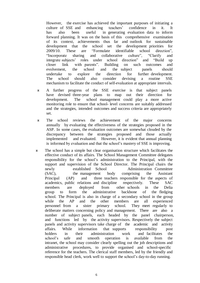However, the exercise has achieved the important purposes of initiating a culture of SSE and enhancing teachers' confidence in it. It has also been useful in generating evaluation data to inform forward planning. It was on the basis of this comprehensive examination of its context, achievements thus far and outlook for sustainable development that the school set the development priorities for 2009/10. These are "Formulate identifiable school direction", "Incorporate sharing and collaborative culture", "Clarify and integrate subjects' roles under school direction" and "Build up closer link with parents". Building on such outcomes and evolvement, the school and the subject panels should undertake to explore the direction for further development. The school should also consider devising a routine SSE mechanism to facilitate the conduct of self-evaluation at appropriate intervals.

- A further progress of the SSE exercise is that subject panels have devised three-year plans to map out their direction for development. The school management could play a more active monitoring role to ensure that school- level concerns are suitably addressed and the strategies, intended outcomes and success criteria are appropriately set.
- The school reviews the achievement of the major concerns annually by evaluating the effectiveness of the strategies proposed in the ASP. In some cases, the evaluation outcomes are somewhat clouded by the discrepancy between the strategies proposed and those actually implemented and evaluated. However, it is evident that annual planning is informed by evaluation and that the school's mastery of SSE is improving.
- The school has a simple but clear organisation structure which facilitates the effective conduct of its affairs. The School Management Committee delegates responsibility for the school's administration to the Principal, with the support and supervision of the School Director. The Principal chairs the newly established School Administration Committee (SAC), the management body comprising the Assistant Principal (AP) and three teachers responsible for the aspects of academics, public relations and discipline respectively. These SAC members are deployed from other schools in the Delia group to form the administrative backbone of the fledging school. The Principal is also in charge of a secondary school in the group while the AP and the other members are all experienced personnel from a sister primary school. They meet regularly to deliberate matters concerning policy and management. There are also a number of subject panels, each headed by the panel chairperson, and functions led by the activity supervisors. Respectively the subject panels and activity supervisors take charge of the academic and activity affairs. While information that supports responsibility post holders in their administration work and facilitates the school's safe and smooth operation is available from the intranet, the school may consider clearly spelling out the job descriptions and administrative procedures, to provide organised and school-specific reference for the teachers. The clerical staff members, led by the friendly and responsible head clerk, work well to support the school's day-to-day running.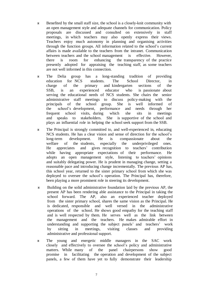- Benefited by the small staff size, the school is a closely-knit community with an open management style and adequate channels for communication. Policy proposals are discussed and consulted on extensively in staff meetings, in which teachers may also openly express their views. Teachers enjoy much autonomy in planning and organising activities through the function groups. All information related to the school's current affairs is made available to the teachers from the intranet. Communication between teachers and the school management is effective. However, there is room for enhancing the transparency of the practice presently adopted for appraising the teaching staff, as some teachers are not well informed in this connection.
- The Delia group has a long-standing tradition of providing education for NCS students. The School Director, in charge of the primary and kindergarten sections of the SSB, is an experienced educator who is passionate about serving the educational needs of NCS students. She chairs the senior administrative staff meetings to discuss policy-making with the principals of the school group. She is well informed of the school's development, performance and needs through her frequent school visits, during which she sits in meetings and speaks to stakeholders. She is supportive of the school and plays an influential role in helping the school seek support from the SSB.
- The Principal is strongly committed to, and well-experienced in, educating NCS students. He has a clear vision and sense of direction for the school's long-term development. He is compassionate about the welfare of the students, especially the underprivileged ones. He appreciates and gives recognition to teachers' contribution while having appropriate expectations of their performance. He adopts an open management style, listening to teachers' opinions and suitably delegating power. He is prudent in managing change, setting a reasonable pace and introducing change incrementally. The previous AP has, this school year, returned to the sister primary school from which she was deployed to oversee the school's operation. The Principal has, therefore, been playing a more prominent role in steering its development.
- Building on the solid administrative foundation laid by the previous AP, the present AP has been rendering able assistance to the Principal in taking the school forward. The AP, also an experienced teacher deployed from the sister primary school, shares the same vision as the Principal. He is dedicated, responsible and well versed in the administrative operations of the school. He shows good empathy for the teaching staff and is well respected by them. He serves well as the link between the management and the teachers. He makes admirable effort in understanding and supporting the subject panels' and teachers' work by sitting in meetings, visiting classes and providing administrative and professional support.
- The young and energetic middle managers in the SAC work closely and effectively to oversee the school's policy and administrative matters. While many of the panel chairpersons show good promise in facilitating the operation and development of the subject panels, a few of them have yet to fully demonstrate their leadership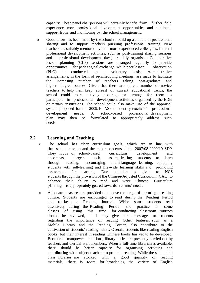capacity. These panel chairpersons will certainly benefit from further field experience, more professional development opportunities and continued support from, and monitoring by, the school management.

 Good effort has been made by the school to build up a climate of professional sharing and to support teachers pursuing professional training. New teachers are suitably mentored by their more experienced colleagues. Internal professional development activities, such as post-training sharing sessions and professional development days, are duly organised. Collaborative lesson planning (CLP) sessions are arranged regularly to provide opportunities for pedagogical exchange, while peer lesson observation (PLO) is conducted on a voluntary basis. Administrative arrangements, in the form of re-scheduling meetings, are made to facilitate the increasing number of teachers taking post-graduate and higher degree courses. Given that there are quite a number of novice teachers, to help them keep abreast of current educational trends, the school could more actively encourage or arrange for them to participate in professional development activities organised by the EDB or tertiary institutions. The school could also make use of the appraisal system proposed for the 2009/10 ASP to identify teachers' professional development needs. A school-based professional development plan may then be formulated to appropriately address such needs.

# **2.2 Learning and Teaching**

- The school has clear curriculum goals, which are in line with the school mission and the major concerns of the 2007/08-2009/10 SDP. They focus on school-based curriculum development and encompass targets such as motivating students to learn through reading, encouraging multi-language learning, equipping students with self-learning and life-wide learning skills and promoting assessment for learning. Due attention is given to NCS students through the provision of the Chinese-Adjusted Curriculum (CAC) to enhance their ability to read and write Chinese. Curriculum planning is appropriately geared towards students' needs.
- Adequate measures are provided to achieve the target of nurturing a reading culture. Students are encouraged to read during the Reading Period and to keep a Reading Journal. While some students read attentively during the Reading Period, the practice in some classes of using this time for conducting classroom routines should be reviewed, as it may give mixed messages to students regarding the importance of reading. Other features, such as a Mobile Library and the Reading Corner, also contribute to the cultivation of students' reading habits. Overall, students like reading English books, but their interest in reading Chinese books has yet to be developed. Because of manpower limitations, library duties are presently carried out by teachers and clerical staff members. When a full-time librarian is available, there should be better capacity for organising activities and coordinating with subject teachers to promote reading. While the school and class libraries are stocked with a good quantity of reading materials, there is room for broadening the variety of English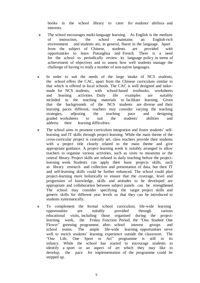books in the school library to cater for students' abilities and interests.

- The school encourages multi-language learning. As English is the medium of instruction, the school maintains an English-rich environment and students are, in general, fluent in the language. Apart from the subject of Chinese, students are provided with opportunities to learn Putonghua and French. There is a need for the school to periodically review its language policy in terms of achievement of objectives and to assess how well students manage the challenge of having to study a number of non-native languages.
- In order to suit the needs of the large intake of NCS students, the school offers the CAC, apart from the Chinese curriculum similar to that which is offered in local schools. The CAC is well designed and tailormade for NCS students, with school-based textbooks, worksheets and learning activities. Daily life examples are suitably included in the teaching materials to facilitate learning. Given that the backgrounds of the NCS students are diverse and their learning paces different, teachers may consider varying the teaching strategies, adjusting the teaching pace and designing graded worksheets to suit the students' abilities and address their learning difficulties.
- The school aims to promote curriculum integration and foster students' selflearning and IT skills through project-learning. While the main theme of the cross-curricular project is centrally set, class teachers provide their students with a project title closely related to the main theme and give appropriate guidance. A project-learning week is suitably arranged to allow teachers to organise various activities, such as visits to museums or the central library. Project skills are infused in daily teaching before the projectlearning week. Students can apply their basic projects skills, such as library research and collection and presentation of data, but their IT and self-learning skills could be further enhanced. The school could plan project-learning more holistically to ensure that the coverage, level and progression of knowledge, skills and attitudes to be developed are appropriate and collaboration between subject panels can be strengthened. The school may consider specifying the target project skills and generic skills for different year levels so that they can be introduced to students systematically.
- To complement the formal school curriculum, life-wide learning opportunities are suitably provided through various educational visits, including those organised during the projectlearning week, the Friday Function Period, the "One Student One Flower" greening programme, after- school interest groups and school teams. The ample life-wide learning opportunities serve well to enrich students' learning experience outside the classroom. The "One Life, One Sport or Art" programme is still in its infancy. While the school has started to encourage students to identify a sport or an aspect of art which they may like to develop, the pace for implementation of the programme could be stepped up.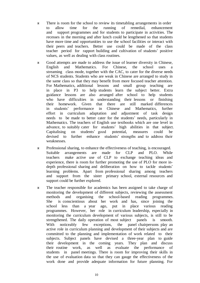- There is room for the school to review its timetabling arrangements in order to allow time for the running of remedial, enhancement and support programmes and for students to participate in activities. The recesses in the morning and after lunch could be lengthened so that students have more time and opportunities to use the school facilities or interact with their peers and teachers. Better use could be made of the class teacher period for rapport building and cultivation of students' positive values, as well as dealing with class routines.
- Good attempts are made to address the issue of learner diversity in Chinese, English and Mathematics. For Chinese, the school uses a streaming class mode, together with the CAC, to cater for the diverse needs of NCS students. Students who are weak in Chinese are arranged to study in the same class so that they may benefit from more focused teacher attention. For Mathematics, additional lessons and small group teaching are in place in P3 to help students learn the subject better. Extra guidance lessons are also arranged after school to help students who have difficulties in understanding their lessons or finishing their homework. Given that there are still marked differences in students' performance in Chinese and Mathematics, further effort in curriculum adaptation and adjustment of task design needs to be made to better cater for the students' needs, particularly in Mathematics. The teachers of English use textbooks which are one level in advance, to suitably cater for students' high abilities in that subject. Capitalising on students' good potential, measures could be devised to further enhance students' strengths and to address their weaknesses.
- Professional sharing, to enhance the effectiveness of teaching, is encouraged. Suitable arrangements are made for CLP and PLO. While teachers make active use of CLP to exchange teaching ideas and experience, there is room for further promoting the use of PLO for more indepth professional sharing and deliberation on how to tackle students' learning problems. Apart from professional sharing among teachers and support from the sister primary school, external resources and support could be further explored.
- The teacher responsible for academics has been assigned to take charge of monitoring the development of different subjects, reviewing the assessment methods and organising the school-based reading programmes. She is conscientious about her work and has, since joining the school less than a year ago, put in place various reading programmes. However, her role in curriculum leadership, especially in monitoring the curriculum development of various subjects, is still to be strengthened. The daily operation of most subject panels is smooth. With noticeably few exceptions, the panel-chairpersons-play-an active role in curriculum planning and development of their subjects and are committed to the planning and implementation of work related to their subjects. Subject panels have devised a three-year plan to guide their development in the coming years. They plan and discuss their routine work, as well as evaluate the performance of students in panel meetings. There is room for improving their skills in the use of evaluation data so that they can gauge the effectiveness of the work done and provide adequate information for future planning. For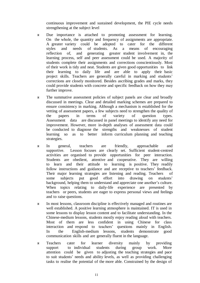continuous improvement and sustained development, the PIE cycle needs strengthening at the subject level

- Due importance is attached to promoting assessment for learning. On the whole, the quantity and frequency of assignments are appropriate. A greater variety could be adopted to cater for the different styles and needs of students. As a means of encouraging reflection of, and generating greater student involvement in, the learning process, self and peer assessment could be used. A majority of students complete their assignments and corrections conscientiously. Most of their work is tidy and neat. Students are given good opportunities to link their learning to daily life and are able to apply their basic project skills. Teachers are generally careful in marking and students' corrections are closely monitored. Besides ascribing grades and marks, they could provide students with concrete and specific feedback on how they may further improve.
- The summative assessment policies of subject panels are clear and broadly discussed in meetings. Clear and detailed marking schemes are prepared to ensure consistency in marking. Although a mechanism is established for the vetting of assessment papers, a few subjects need to strengthen the quality of the papers in terms of variety of question types. Assessment data are discussed in panel meetings to identify any need for improvement. However, more in-depth analyses of assessment data could be conducted to diagnose the strengths and weaknesses of student learning so as to better inform curriculum planning and teaching strategies.
- In general, teachers are friendly, approachable and supportive. Lesson focuses are clearly set. Sufficient student-centred activities are organised to provide opportunities for peer interaction. Students are obedient, attentive and cooperative. They are willing to learn and their attitude to learning is positive. They readily follow instructions and guidance and are receptive to teachers' feedback. Their major learning strategies are listening and reading. Teachers of some subjects put good effort into drawing on students' background, helping them to understand and appreciate one another's culture. When topics relating to daily-life experience are presented by teachers or peers, students are eager to express personal views and feelings and to raise questions.
- In most lessons, classroom discipline is effectively managed and routines are well established. A positive learning atmosphere is maintained. IT is used in some lessons to display lesson content and to facilitate understanding. In the Chinese-medium lessons, students mostly enjoy reading aloud with teachers. Most of them are less confident in using Chinese for class interaction and respond to teachers' questions mainly in English. In the English-medium lessons, students demonstrate good communication skills and are generally fluent in the language.
- Teachers cater for learner diversity mainly by providing support to individual students during group work. More attention could be given to adjusting the teaching strategies and pace to suit students' needs and ability levels, as well as providing challenging tasks to realise the potential of the more able. Constrained by the design of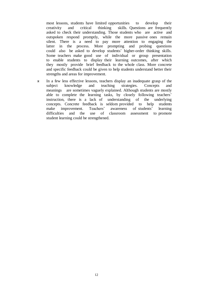most lessons, students have limited opportunities to develop their creativity and critical thinking skills. Questions are frequently asked to check their understanding. Those students who are active and outspoken respond promptly, while the more passive ones remain silent. There is a need to pay more attention to engaging the latter in the process. More prompting and probing questions could also be asked to develop students' higher-order thinking skills. Some teachers make good use of individual or group presentation to enable students to display their learning outcomes, after which they mostly provide brief feedback to the whole class. More concrete and specific feedback could be given to help students understand better their strengths and areas for improvement.

 In a few less effective lessons, teachers display an inadequate grasp of the subject knowledge and teaching strategies. Concepts and meanings are sometimes vaguely explained. Although students are mostly able to complete the learning tasks, by closely following teachers' instruction, there is a lack of understanding of the underlying concepts. Concrete feedback is seldom provided to help students make improvement. Teachers' awareness of students' learning difficulties and the use of classroom assessment to promote student learning could be strengthened.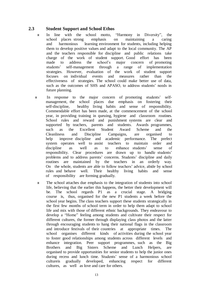## **2.3 Student Support and School Ethos**

- In line with the school motto, "Harmony in Diversity", the school places strong emphasis on maintaining a caring and harmonious learning environment for students, including helping them to develop positive values and adapt to the local community. The AP and the teachers responsible for discipline and public relations take charge of the work of student support. Good effort has been made to address the school's major concern of promoting students' self-management through a range of implementation strategies. However, evaluation of the work of student support focuses on individual events and measures rather than the effectiveness of strategies. The school could make better use of data, such as the outcomes of SHS and APASO, to address students' needs in future planning.
- In response to the major concern of promoting students' selfmanagement, the school places due emphasis on fostering their self-discipline, healthy living habits and sense of responsibility. Commendable effort has been made, at the commencement of the school year, in providing training in queuing, hygiene and classroom routines. School rules and reward and punishment systems are clear and supported by teachers, parents and students. Awards programmes, such as the Excellent Student Award Scheme and the Cleanliness and Discipline Campaigns, are organised to help improve discipline and academic performance. The prefect system operates well to assist teachers to maintain order and discipline as well as to enhance students' sense of responsibility. Clear procedures are drawn up to handle students' problems and to address parents' concerns. Students' discipline and daily routines are maintained by the teachers in an orderly way. On the whole, students are able to follow teachers' advice, abide by school rules and behave well. Their healthy living habits and sense of responsibility are forming gradually.
- The school attaches due emphasis to the integration of students into school life, believing that the earlier this happens, the better their development will be. The school regards P1 as a crucial stage. A bridging course is, thus, organised for the new P1 students a week before the school year begins. The class teachers support these students strategically in the first few months of school term in order to help them adapt to school life and mix with those of different ethnic backgrounds. They endeavour to develop a "Home" feeling among students and cultivate their respect for different cultures, the former through displaying class photos and the latter through encouraging students to hang their national flags in the classroom and introduce festivals of their countries at appropriate times. The school organises different kinds of activities during the school year to foster good relationships among students across different levels and enhance integration. Peer support programmes, such as the Big Brothers and Big Sisters Scheme and Lunch Helpers, are organised to provide opportunities for senior students to help the junior ones during recess and lunch time. Students' sense of a harmonious school cultureis gradually developed, enhancing respect for different cultures, as well as love and care for others.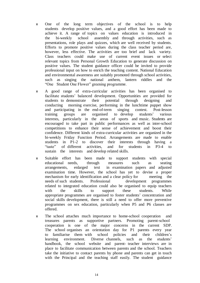- One of the long term objectives of the school is to help students develop positive values, and a good effort has been made to achieve it. A range of topics on values education is introduced in the bi-weekly school assembly and through activities, such as presentations, role plays and quizzes, which are well received by students. Efforts to promote positive values during the class teacher period are, however, less effective. The activities are too brief and lack variety. Class teachers could make use of current event issues or select relevant topics from Personal Growth Education to generate discussion on positive values. The student guidance officer could be invited to provide professional input on how to enrich the teaching content. National Education and environmental awareness are suitably promoted through school activities, such as singing the national anthem, lantern riddles and the "One Student One Flower" greening programme.
- A good range of extra-curricular activities has been organised to facilitate students' balanced development. Opportunities are provided for students to demonstrate their potential through designing and conducting morning exercise, performing in the lunchtime puppet show and participating in the end-of-term singing contest. Post-lesson training groups are organised to develop students' various interests, particularly in the areas of sports and music. Students are encouraged to take part in public performances as well as inter-school competitions to enhance their sense of achievement and boost their confidence. Different kinds of extra-curricular activities are organized in the bi-weekly Friday Function Period. Arrangements are made to enable students in P1-2 to discover their interests through having a "taste" of different activities, and for students in P3-4 to sustain the interests and develop related skills.
- Suitable effort has been made to support students with special educational needs, through measures such as seating arrangements, enlarged text in examination papers and adjusted examination time. However, the school has yet to devise a proper mechanism for early identification and a clear policy for meeting the needs of such students. Professional development programmes related to integrated education could also be organised to equip teachers with the skills to support these students. While appropriate programmes are organised to foster students' concentration and social skills development, there is still a need to offer more preventive programmes on sex education, particularly when P5 and P6 classes are offered.
- The school attaches much importance to home-school cooperation and treasures parents as supportive partners. Promoting parent-school cooperation is one of the major concerns in the current SDP. The school organises an orientation day for P1 parents every year to familiarise them with school policies and their children's learning environment. Diverse channels, such as the students' handbook, the school website and parent- teacher interviews are in place to facilitate communication between parents and the school. Teachers take the initiative to contact parents by phone and parents can get in touch with the Principal and the teaching staff easily. The student guidance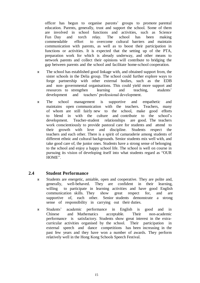officer has begun to organise parents' groups to promote parental education. Parents, generally, trust and support the school. Some of them are involved in school functions and activities, such as Science Fun Day and torch relay. The school has been making commendable effort to overcome cultural barriers and maintain communication with parents, as well as to boost their participation in functions or activities. It is expected that the setting up of the PTA, preparation work for which is already underway, and other means to network parents and collect their opinions will contribute to bridging the gap between parents and the school and facilitate home-school cooperation.

- The school has established good linkage with, and obtained support from, the sister schools in the Delia group. The school could further explore ways to forge partnership with other external bodies, such as the EDB and non- governmental organisations. This could yield more support and resources to strengthen learning and teaching, students' development and teachers' professional development.
- The school management is supportive and empathetic and maintains open communication with the teachers. Teachers, many of whom are still fairly new to the school, make good efforts to blend in with the culture and contribute to the school's development. Teacher-student relationships are good. The teachers work conscientiously to provide pastoral care for students and attend to their growth with love and discipline. Students respect the teachers and each other. There is a spirit of camaraderie among students of different ethnic and cultural backgrounds. Senior students mix well with, and take good care of, the junior ones. Students have a strong sense of belonging to the school and enjoy a happy school life. The school is well on course in pursuing its vision of developing itself into what students regard as "OUR HOME".

## **2.4 Student Performance**

- Students are energetic, amiable, open and cooperative. They are polite and, generally, well-behaved. They are confident in their learning, willing to participate in learning activities and have good English communication skills. They show great respect for, and are supportive of, each other. Senior students demonstrate a strong sense of responsibility in carrying out their duties.
- Students' academic performance in English is good and in Chinese and Mathematics acceptable. Their non-academic performance is satisfactory. Students show great interest in the extracurricular activities organised by the school. Their participation in external speech and dance competitions has been increasing in the past few years and they have won a number of awards. They perform relatively well in the Hong Kong Schools Speech Festival.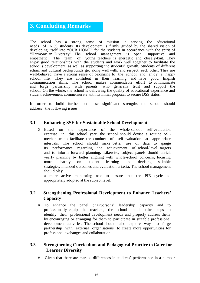# **3. Concluding Remarks**

The school has a strong sense of mission in serving the educational needs of NCS students. Its development is firmly guided by the shared vision of developing itself into "OUR HOME" for the students in accordance with the spirit of "Harmony in Diversity". The school management is open, supportive and "Harmony in Diversity". The school management is open, empathetic. The team of young teachers is energetic and closely-knit. They enjoy good relationships with the students and work well together to facilitate the school's development, as well as supporting the students' growth. Students of different ethnic and cultural backgrounds get along well with, and respect, each other. They are well-behaved, have a strong sense of belonging to the school and enjoy a happy school life. They are confident in their learning and have good English communication skills. The school makes commendable effort to communicate and forge partnership with parents, who generally trust and support the school. On the whole, the school is delivering the quality of educational experience and student achievement commensurate with its initial proposal to secure DSS status.

In order to build further on these significant strengths the school should address the following issues:

#### **3.1 Enhancing SSE for Sustainable School Development**

 Based on the experience of the whole-school self-evaluation exercise in this school year, the school should devise a routine SSE mechanism to facilitate the conduct of self-evaluation at appropriate intervals. The school should make better use of data to gauge its performance regarding the achievement of school-level targets and to inform forward planning. Likewise, subject panels should enrich yearly planning by better aligning with whole-school concerns, focusing more sharply on student learning and devising suitable strategies, intended outcomes and evaluation criteria. The school management should play

a more active monitoring role to ensure that the PIE cycle is appropriately adopted at the subject level.

## **3.2 Strengthening Professional Development to Enhance Teachers' Capacity**

 To enhance the panel chairpersons' leadership capacity and to professionally equip the teachers, the school should take steps to identify their professional development needs and properly address them, by encouraging or arranging for them to participate in suitable professional development activities. The school should also explore ways to forge partnership with external organisations to create more opportunities for professional exchanges and collaboration.

# **3.3 Strengthening Curriculum and Pedagogical Practice to Cater for Learner Diversity**

Given that there are marked differences in students' performance in a number